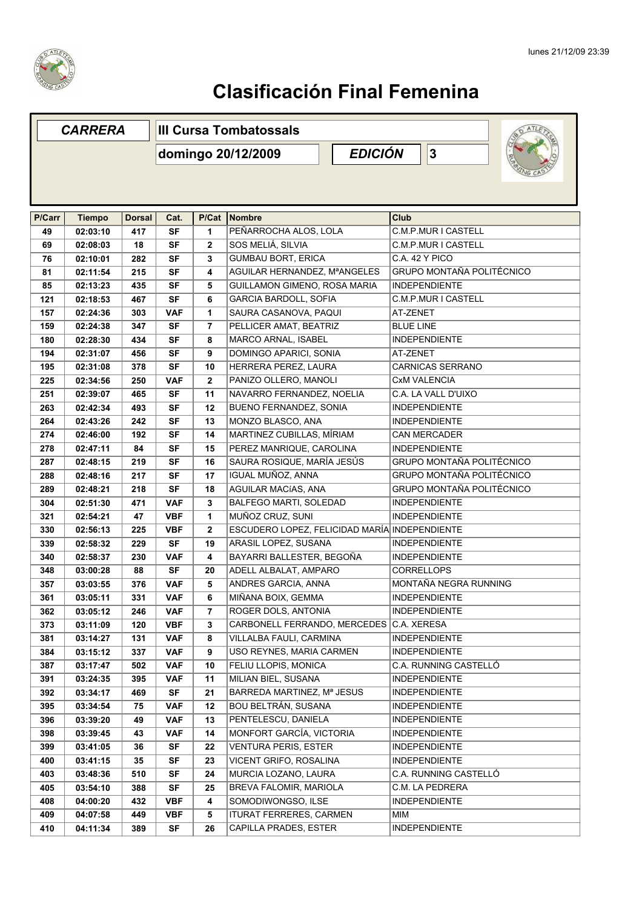

## **Clasificación Final Femenina**

| <b>CARRERA</b> |               |               | <b>III Cursa Tombatossals</b> |                     |                                               |                                  |  |  |  |
|----------------|---------------|---------------|-------------------------------|---------------------|-----------------------------------------------|----------------------------------|--|--|--|
|                |               |               | domingo 20/12/2009            | <b>EDICIÓN</b><br>3 |                                               |                                  |  |  |  |
|                |               |               |                               |                     |                                               |                                  |  |  |  |
| P/Carr         | <b>Tiempo</b> | <b>Dorsal</b> | Cat.                          | P/Cat               | Nombre                                        | Club                             |  |  |  |
| 49             | 02:03:10      | 417           | <b>SF</b>                     | 1                   | PEÑARROCHA ALOS, LOLA                         | <b>C.M.P.MUR I CASTELL</b>       |  |  |  |
| 69             | 02:08:03      | 18            | <b>SF</b>                     | $\mathbf{2}$        | SOS MELIÁ, SILVIA                             | C.M.P.MUR I CASTELL              |  |  |  |
| 76             | 02:10:01      | 282           | <b>SF</b>                     | 3                   | <b>GUMBAU BORT, ERICA</b>                     | C.A. 42 Y PICO                   |  |  |  |
| 81             | 02:11:54      | 215           | <b>SF</b>                     | 4                   | AGUILAR HERNANDEZ, MªANGELES                  | <b>GRUPO MONTAÑA POLITÉCNICO</b> |  |  |  |
| 85             | 02:13:23      | 435           | <b>SF</b>                     | 5                   | GUILLAMON GIMENO, ROSA MARIA                  | <b>INDEPENDIENTE</b>             |  |  |  |
| 121            | 02:18:53      | 467           | <b>SF</b>                     | 6                   | GARCIA BARDOLL, SOFIA                         | <b>C.M.P.MUR I CASTELL</b>       |  |  |  |
| 157            | 02:24:36      | 303           | <b>VAF</b>                    | 1                   | SAURA CASANOVA, PAQUI                         | AT-ZENET                         |  |  |  |
| 159            | 02:24:38      | 347           | <b>SF</b>                     | 7                   | PELLICER AMAT, BEATRIZ                        | <b>BLUE LINE</b>                 |  |  |  |
| 180            | 02:28:30      | 434           | <b>SF</b>                     | 8                   | MARCO ARNAL, ISABEL                           | <b>INDEPENDIENTE</b>             |  |  |  |
| 194            | 02:31:07      | 456           | <b>SF</b>                     | 9                   | DOMINGO APARICI, SONIA                        | AT-ZENET                         |  |  |  |
| 195            | 02:31:08      | 378           | <b>SF</b>                     | 10                  | HERRERA PEREZ, LAURA                          | <b>CARNICAS SERRANO</b>          |  |  |  |
| 225            | 02:34:56      | 250           | <b>VAF</b>                    | $\mathbf{2}$        | PANIZO OLLERO, MANOLI                         | <b>CxM VALENCIA</b>              |  |  |  |
| 251            | 02:39:07      | 465           | <b>SF</b>                     | 11                  | NAVARRO FERNANDEZ, NOELIA                     | C.A. LA VALL D'UIXO              |  |  |  |
| 263            | 02:42:34      | 493           | <b>SF</b>                     | 12                  | BUENO FERNANDEZ, SONIA                        | <b>INDEPENDIENTE</b>             |  |  |  |
| 264            | 02:43:26      | 242           | <b>SF</b>                     | 13                  | MONZO BLASCO, ANA                             | <b>INDEPENDIENTE</b>             |  |  |  |
| 274            | 02:46:00      | 192           | <b>SF</b>                     | 14                  | MARTINEZ CUBILLAS, MÍRIAM                     | <b>CAN MERCADER</b>              |  |  |  |
| 278            | 02:47:11      | 84            | <b>SF</b>                     | 15                  | PEREZ MANRIQUE, CAROLINA                      | <b>INDEPENDIENTE</b>             |  |  |  |
| 287            | 02:48:15      | 219           | <b>SF</b>                     | 16                  | SAURA ROSIQUE, MARÍA JESÚS                    | GRUPO MONTAÑA POLITÉCNICO        |  |  |  |
| 288            | 02:48:16      | 217           | <b>SF</b>                     | 17                  | IGUAL MUÑOZ, ANNA                             | GRUPO MONTAÑA POLITÉCNICO        |  |  |  |
| 289            | 02:48:21      | 218           | <b>SF</b>                     | 18                  | AGUILAR MACÍAS, ANA                           | GRUPO MONTAÑA POLITÉCNICO        |  |  |  |
| 304            | 02:51:30      | 471           | <b>VAF</b>                    | 3                   | BALFEGO MARTI, SOLEDAD                        | <b>INDEPENDIENTE</b>             |  |  |  |
| 321            | 02:54:21      | 47            | <b>VBF</b>                    | 1                   | MUÑOZ CRUZ, SUNI                              | <b>INDEPENDIENTE</b>             |  |  |  |
| 330            | 02:56:13      | 225           | <b>VBF</b>                    | $\mathbf{2}$        | ESCUDERO LOPEZ, FELICIDAD MARÍA INDEPENDIENTE |                                  |  |  |  |
| 339            | 02:58:32      | 229           | <b>SF</b>                     | 19                  | ARASIL LOPEZ, SUSANA                          | <b>INDEPENDIENTE</b>             |  |  |  |
| 340            | 02:58:37      | 230           | <b>VAF</b>                    | 4                   | BAYARRI BALLESTER, BEGOÑA                     | <b>INDEPENDIENTE</b>             |  |  |  |
| 348            | 03:00:28      | 88            | <b>SF</b>                     | 20                  | ADELL ALBALAT, AMPARO                         | <b>CORRELLOPS</b>                |  |  |  |
| 357            | 03:03:55      | 376           | <b>VAF</b>                    | 5                   | ANDRES GARCIA, ANNA                           | MONTAÑA NEGRA RUNNING            |  |  |  |
| 361            | 03:05:11      | 331           | <b>VAF</b>                    | 6                   | MIÑANA BOIX, GEMMA                            | <b>INDEPENDIENTE</b>             |  |  |  |
| 362            | 03:05:12      | 246           | <b>VAF</b>                    | $\overline{7}$      | ROGER DOLS, ANTONIA                           | <b>INDEPENDIENTE</b>             |  |  |  |
| 373            | 03:11:09      | 120           | <b>VBF</b>                    | 3                   | CARBONELL FERRANDO, MERCEDES                  | C.A. XERESA                      |  |  |  |
| 381            | 03:14:27      | 131           | <b>VAF</b>                    | 8                   | VILLALBA FAULI, CARMINA                       | <b>INDEPENDIENTE</b>             |  |  |  |
| 384            | 03:15:12      | 337           | VAF                           | 9                   | USO REYNES, MARIA CARMEN                      | <b>INDEPENDIENTE</b>             |  |  |  |
| 387            | 03:17:47      | 502           | VAF                           | 10                  | FELIU LLOPIS, MONICA                          | C.A. RUNNING CASTELLÓ            |  |  |  |
| 391            | 03:24:35      | 395           | VAF                           | 11                  | MILIAN BIEL, SUSANA                           | <b>INDEPENDIENTE</b>             |  |  |  |
| 392            | 03:34:17      | 469           | <b>SF</b>                     | 21                  | BARREDA MARTINEZ, Mª JESUS                    | <b>INDEPENDIENTE</b>             |  |  |  |
| 395            | 03:34:54      | 75            | <b>VAF</b>                    | 12                  | <b>BOU BELTRÁN, SUSANA</b>                    | <b>INDEPENDIENTE</b>             |  |  |  |
| 396            | 03:39:20      | 49            | <b>VAF</b>                    | 13                  | PENTELESCU, DANIELA                           | <b>INDEPENDIENTE</b>             |  |  |  |
| 398            | 03:39:45      | 43            | <b>VAF</b>                    | 14                  | MONFORT GARCÍA, VICTORIA                      | INDEPENDIENTE                    |  |  |  |
| 399            | 03:41:05      | 36            | SF                            | 22                  | <b>VENTURA PERIS, ESTER</b>                   | <b>INDEPENDIENTE</b>             |  |  |  |
| 400            | 03:41:15      | 35            | SF                            | 23                  | VICENT GRIFO, ROSALINA                        | <b>INDEPENDIENTE</b>             |  |  |  |
| 403            | 03:48:36      | 510           | <b>SF</b>                     | 24                  | MURCIA LOZANO, LAURA                          | C.A. RUNNING CASTELLÓ            |  |  |  |
| 405            | 03:54:10      | 388           | SF                            | 25                  | BREVA FALOMIR, MARIOLA                        | C.M. LA PEDRERA                  |  |  |  |
| 408            | 04:00:20      | 432           | VBF                           | 4                   | SOMODIWONGSO, ILSE                            | <b>INDEPENDIENTE</b>             |  |  |  |
| 409            | 04:07:58      | 449           | <b>VBF</b>                    | 5                   | ITURAT FERRERES, CARMEN                       | MIM                              |  |  |  |
| 410            | 04:11:34      | 389           | SF                            | 26                  | CAPILLA PRADES, ESTER                         | <b>INDEPENDIENTE</b>             |  |  |  |